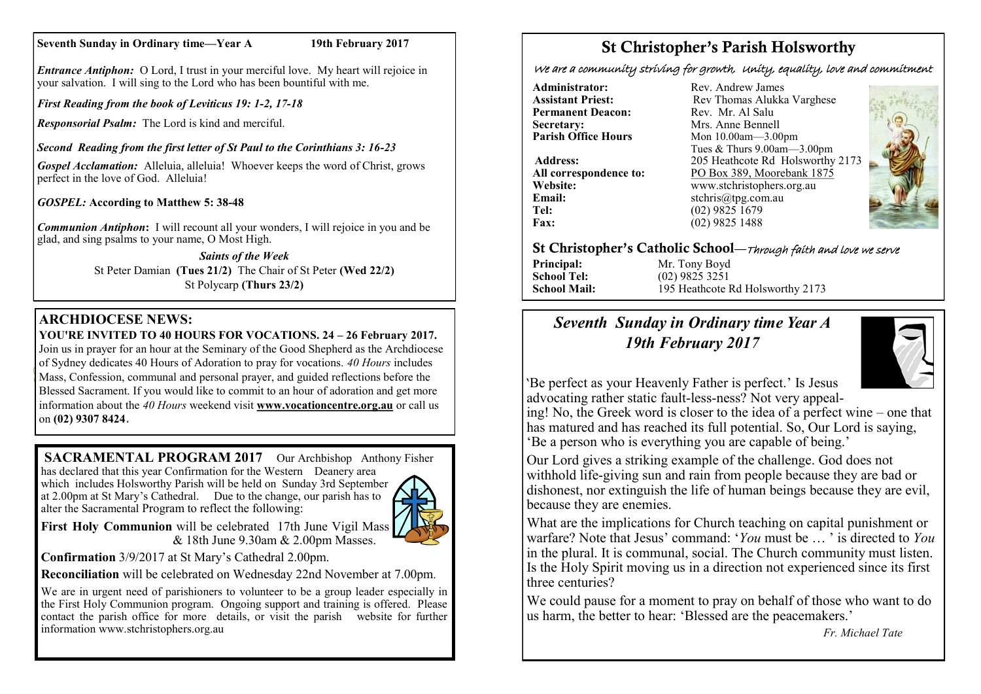### **Seventh Sunday in Ordinary time—Year A 19th February 2017**

*Entrance Antiphon:* O Lord, I trust in your merciful love. My heart will rejoice in your salvation. I will sing to the Lord who has been bountiful with me.

*First Reading from the book of Leviticus 19: 1-2, 17-18*

*Responsorial Psalm:* The Lord is kind and merciful.

*Second Reading from the first letter of St Paul to the Corinthians 3: 16-23*

*Gospel Acclamation:* Alleluia, alleluia! Whoever keeps the word of Christ, grows perfect in the love of God. Alleluia!

*GOSPEL:* **According to Matthew 5: 38-48**

*Communion Antiphon***:** I will recount all your wonders, I will rejoice in you and be glad, and sing psalms to your name, O Most High.

> *Saints of the Week* St Peter Damian **(Tues 21/2)** The Chair of St Peter **(Wed 22/2)** St Polycarp **(Thurs 23/2)**

## **ARCHDIOCESE NEWS:**

## **YOU'RE INVITED TO 40 HOURS FOR VOCATIONS. 24 – 26 February 2017.**

Join us in prayer for an hour at the Seminary of the Good Shepherd as the Archdiocese of Sydney dedicates 40 Hours of Adoration to pray for vocations. *40 Hours* includes Mass, Confession, communal and personal prayer, and guided reflections before the Blessed Sacrament. If you would like to commit to an hour of adoration and get more information about the *40 Hours* weekend visit **www.[vocationcentre.org.au](http://www.vocationcentre.org.au/)** or call us on **(02) 9307 8424**.

**SACRAMENTAL PROGRAM 2017** Our Archbishop Anthony Fisher

has declared that this year Confirmation for the Western Deanery area which includes Holsworthy Parish will be held on Sunday 3rd September at 2.00pm at St Mary's Cathedral. Due to the change, our parish has to alter the Sacramental Program to reflect the following:



**First Holy Communion** will be celebrated 17th June Vigil Mass & 18th June 9.30am & 2.00pm Masses.

**Confirmation** 3/9/2017 at St Mary's Cathedral 2.00pm.

**Reconciliation** will be celebrated on Wednesday 22nd November at 7.00pm.

We are in urgent need of parishioners to volunteer to be a group leader especially in the First Holy Communion program. Ongoing support and training is offered. Please contact the parish office for more details, or visit the parish website for further information www.stchristophers.org.au

# St Christopher's Parish Holsworthy

We are a community striving for growth, Unity, equality, love and commitment

**Administrator:** Rev. Andrew James<br> **Assistant Priest:** Rev Thomas Alukka **Permanent Deacon:**<br>Secretary: **Secretary:** Mrs. Anne Bennell<br> **Parish Office Hours** Mon 10.00am - 3.00

**Email:** stchris@tpg.com.au<br> **Tel:** (02) 9825 1679 **Fax:** (02) 9825 1488

Rev Thomas Alukka Varghese<br>Rev. Mr. Al Salu **Mon 10.00am—3.00pm** Tues & Thurs 9.00am—3.00pm **Address:** 205 Heathcote Rd Holsworthy 2173 **All correspondence to:** PO Box 389, Moorebank 1875 **Website:** www.stchristophers.org.au<br> **Email:** stchris@tng.com au **Tel:** (02) 9825 1679



## St Christopher's Catholic School—Through faith and love we serve

**Principal:** Mr. Tony Boyd **School Tel:** (02) 9825 3251

**School Mail:** 195 Heathcote Rd Holsworthy 2173

## *Seventh Sunday in Ordinary time Year A 19th February 2017*



'Be perfect as your Heavenly Father is perfect.' Is Jesus advocating rather static fault-less-ness? Not very appeal-

ing! No, the Greek word is closer to the idea of a perfect wine – one that has matured and has reached its full potential. So, Our Lord is saying, 'Be a person who is everything you are capable of being.'

Our Lord gives a striking example of the challenge. God does not withhold life-giving sun and rain from people because they are bad or dishonest, nor extinguish the life of human beings because they are evil, because they are enemies.

What are the implications for Church teaching on capital punishment or warfare? Note that Jesus' command: '*You* must be … ' is directed to *You* in the plural. It is communal, social. The Church community must listen. Is the Holy Spirit moving us in a direction not experienced since its first three centuries?

We could pause for a moment to pray on behalf of those who want to do us harm, the better to hear: 'Blessed are the peacemakers.'

*Fr. Michael Tate*